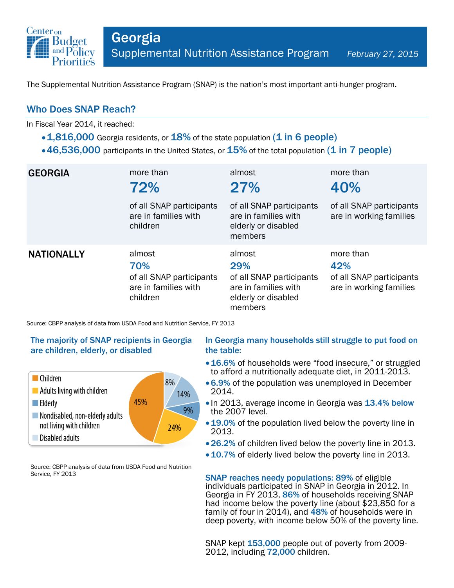

The Supplemental Nutrition Assistance Program (SNAP) is the nation's most important anti-hunger program.

# Who Does SNAP Reach?

In Fiscal Year 2014, it reached:

- $\cdot$  1,816,000 Georgia residents, or 18% of the state population (1 in 6 people)
- $\cdot$  46,536,000 participants in the United States, or  $15\%$  of the total population (1 in 7 people)

| <b>GEORGIA</b>    | more than<br>72%<br>of all SNAP participants<br>are in families with<br>children | almost<br>27%<br>of all SNAP participants<br>are in families with<br>elderly or disabled<br>members | more than<br>40%<br>of all SNAP participants<br>are in working families |
|-------------------|----------------------------------------------------------------------------------|-----------------------------------------------------------------------------------------------------|-------------------------------------------------------------------------|
| <b>NATIONALLY</b> | almost<br>70%<br>of all SNAP participants<br>are in families with<br>children    | almost<br>29%<br>of all SNAP participants<br>are in families with<br>elderly or disabled<br>members | more than<br>42%<br>of all SNAP participants<br>are in working families |

Source: CBPP analysis of data from USDA Food and Nutrition Service, FY 2013

#### The majority of SNAP recipients in Georgia are children, elderly, or disabled



Source: CBPP analysis of data from USDA Food and Nutrition Service, FY 2013

#### In Georgia many households still struggle to put food on the table:

- 16.6% of households were "food insecure," or struggled to afford a nutritionally adequate diet, in 2011-2013.
- 6.9% of the population was unemployed in December 2014.
- In 2013, average income in Georgia was 13.4% below the 2007 level.
- 19.0% of the population lived below the poverty line in 2013.
- 26.2% of children lived below the poverty line in 2013.
- 10.7% of elderly lived below the poverty line in 2013.

SNAP reaches needy populations: 89% of eligible individuals participated in SNAP in Georgia in 2012. In Georgia in FY 2013, 86% of households receiving SNAP had income below the poverty line (about \$23,850 for a family of four in 2014), and 48% of households were in deep poverty, with income below 50% of the poverty line.

SNAP kept 153,000 people out of poverty from 2009- 2012, including 72,000 children.